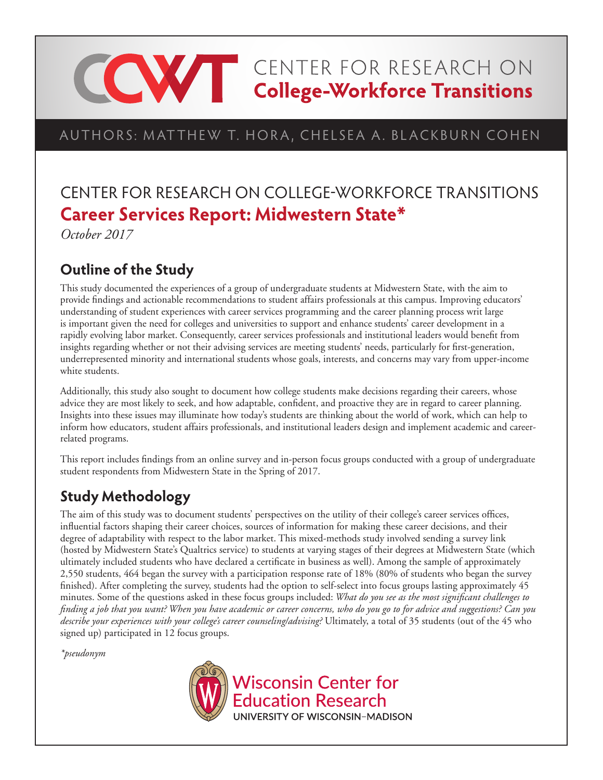# **CONTER FOR RESEARCH ON College-Workforce Transitions**

# AUTHORS: MATTHEW T. HORA, CHELSEA A. BLACKBURN COHEN

# CENTER FOR RESEARCH ON COLLEGE-WORKFORCE TRANSITIONS **Career Services Report: Midwestern State\***

*October 2017*

# **Outline of the Study**

This study documented the experiences of a group of undergraduate students at Midwestern State, with the aim to provide findings and actionable recommendations to student affairs professionals at this campus. Improving educators' understanding of student experiences with career services programming and the career planning process writ large is important given the need for colleges and universities to support and enhance students' career development in a rapidly evolving labor market. Consequently, career services professionals and institutional leaders would benefit from insights regarding whether or not their advising services are meeting students' needs, particularly for first-generation, underrepresented minority and international students whose goals, interests, and concerns may vary from upper-income white students.

Additionally, this study also sought to document how college students make decisions regarding their careers, whose advice they are most likely to seek, and how adaptable, confident, and proactive they are in regard to career planning. Insights into these issues may illuminate how today's students are thinking about the world of work, which can help to inform how educators, student affairs professionals, and institutional leaders design and implement academic and careerrelated programs.

This report includes findings from an online survey and in-person focus groups conducted with a group of undergraduate student respondents from Midwestern State in the Spring of 2017.

# **Study Methodology**

The aim of this study was to document students' perspectives on the utility of their college's career services offices, influential factors shaping their career choices, sources of information for making these career decisions, and their degree of adaptability with respect to the labor market. This mixed-methods study involved sending a survey link (hosted by Midwestern State's Qualtrics service) to students at varying stages of their degrees at Midwestern State (which ultimately included students who have declared a certificate in business as well). Among the sample of approximately 2,550 students, 464 began the survey with a participation response rate of 18% (80% of students who began the survey finished). After completing the survey, students had the option to self-select into focus groups lasting approximately 45 minutes. Some of the questions asked in these focus groups included: *What do you see as the most significant challenges to finding a job that you want? When you have academic or career concerns, who do you go to for advice and suggestions? Can you describe your experiences with your college's career counseling/advising?* Ultimately, a total of 35 students (out of the 45 who signed up) participated in 12 focus groups.

*\*pseudonym*

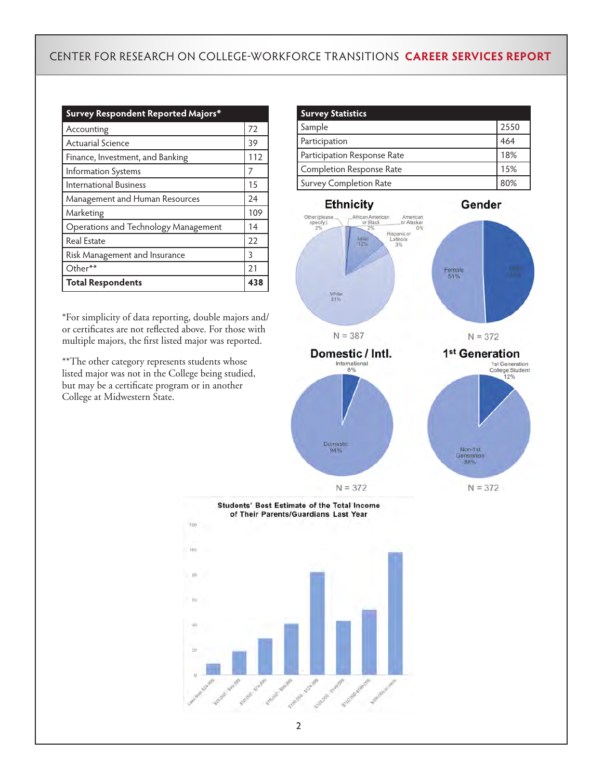| Survey Respondent Reported Majors*   |     |
|--------------------------------------|-----|
| Accounting                           | 72  |
| <b>Actuarial Science</b>             | 39  |
| Finance, Investment, and Banking     | 112 |
| Information Systems                  | 7   |
| International Business               | 15  |
| Management and Human Resources       | 24  |
| Marketing                            | 109 |
| Operations and Technology Management | 14  |
| Real Estate                          | 22  |
| Risk Management and Insurance        | 3   |
| Other**                              | 21  |
| <b>Total Respondents</b>             | 438 |

\*For simplicity of data reporting, double majors and/ or certificates are not reflected above. For those with multiple majors, the first listed major was reported.

\*\*The other category represents students whose listed major was not in the College being studied, but may be a certificate program or in another College at Midwestern State.

| <b>Survey Statistics</b>      |      |
|-------------------------------|------|
| Sample                        | 2550 |
| Participation                 | 464  |
| Participation Response Rate   | 18%  |
| Completion Response Rate      | 15%  |
| <b>Survey Completion Rate</b> | 80%  |



**Students' Best Estimate of the Total Income** of Their Parents/Guardians Last Year

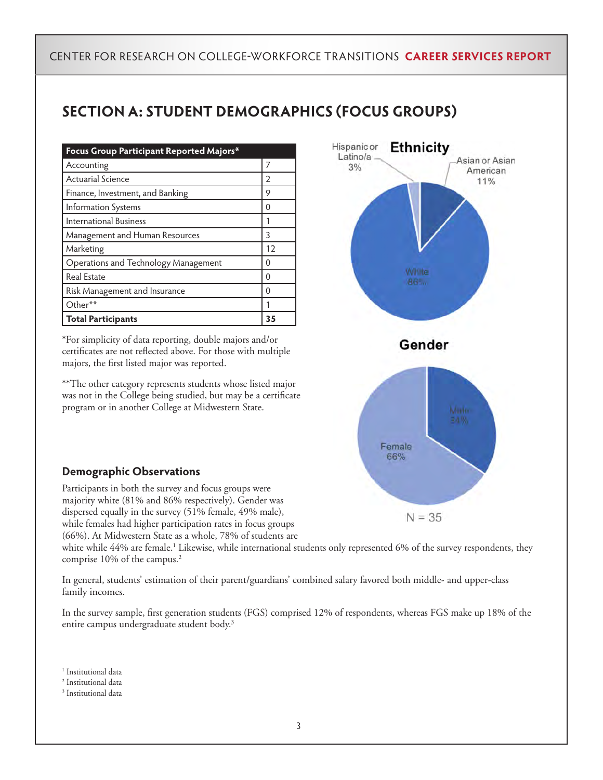# **SECTION A: STUDENT DEMOGRAPHICS (FOCUS GROUPS)**

| Focus Group Participant Reported Majors* |    |
|------------------------------------------|----|
| Accounting                               |    |
| <b>Actuarial Science</b>                 | 2  |
| Finance, Investment, and Banking         | 9  |
| Information Systems                      | Ω  |
| International Business                   |    |
| Management and Human Resources           | 3  |
| Marketing                                | 12 |
| Operations and Technology Management     | Ω  |
| <b>Real Estate</b>                       | Ω  |
| Risk Management and Insurance            | Ω  |
| Other**                                  |    |
| <b>Total Participants</b>                | 35 |

\*For simplicity of data reporting, double majors and/or certificates are not reflected above. For those with multiple majors, the first listed major was reported.

\*\*The other category represents students whose listed major was not in the College being studied, but may be a certificate program or in another College at Midwestern State.



#### **Demographic Observations**

Participants in both the survey and focus groups were majority white (81% and 86% respectively). Gender was dispersed equally in the survey (51% female, 49% male), while females had higher participation rates in focus groups (66%). At Midwestern State as a whole, 78% of students are

white while 44% are female.' Likewise, while international students only represented 6% of the survey respondents, they comprise 10% of the campus.<sup>2</sup>

In general, students' estimation of their parent/guardians' combined salary favored both middle- and upper-class family incomes.

In the survey sample, first generation students (FGS) comprised 12% of respondents, whereas FGS make up 18% of the entire campus undergraduate student body.<sup>3</sup>

<sup>1</sup> Institutional data

3 Institutional data

<sup>2</sup> Institutional data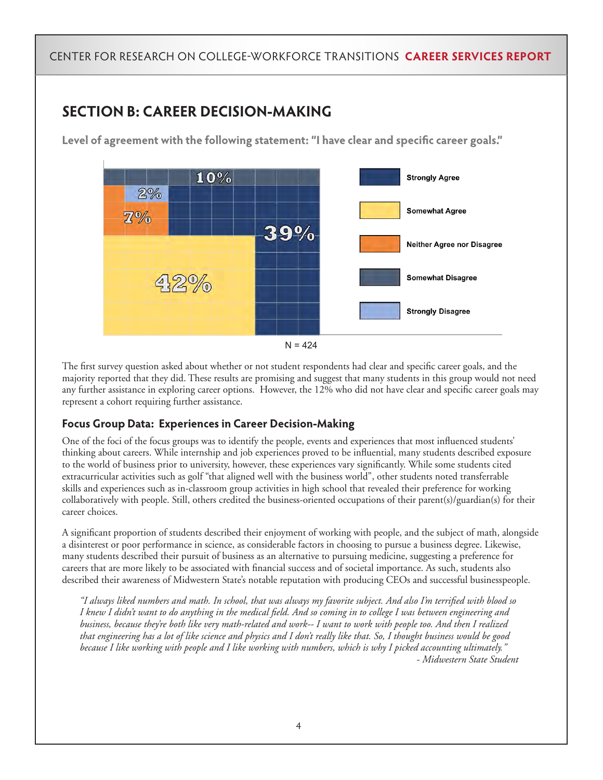# **SECTION B: CAREER DECISION-MAKING**

**Level of agreement with the following statement: "I have clear and specific career goals."**





The first survey question asked about whether or not student respondents had clear and specific career goals, and the majority reported that they did. These results are promising and suggest that many students in this group would not need any further assistance in exploring career options. However, the 12% who did not have clear and specific career goals may represent a cohort requiring further assistance.

#### **Focus Group Data: Experiences in Career Decision-Making**

One of the foci of the focus groups was to identify the people, events and experiences that most influenced students' thinking about careers. While internship and job experiences proved to be influential, many students described exposure to the world of business prior to university, however, these experiences vary significantly. While some students cited extracurricular activities such as golf "that aligned well with the business world", other students noted transferrable skills and experiences such as in-classroom group activities in high school that revealed their preference for working collaboratively with people. Still, others credited the business-oriented occupations of their parent(s)/guardian(s) for their career choices.

A significant proportion of students described their enjoyment of working with people, and the subject of math, alongside a disinterest or poor performance in science, as considerable factors in choosing to pursue a business degree. Likewise, many students described their pursuit of business as an alternative to pursuing medicine, suggesting a preference for careers that are more likely to be associated with financial success and of societal importance. As such, students also described their awareness of Midwestern State's notable reputation with producing CEOs and successful businesspeople.

*"I always liked numbers and math. In school, that was always my favorite subject. And also I'm terrified with blood so I knew I didn't want to do anything in the medical field. And so coming in to college I was between engineering and business, because they're both like very math-related and work-- I want to work with people too. And then I realized that engineering has a lot of like science and physics and I don't really like that. So, I thought business would be good because I like working with people and I like working with numbers, which is why I picked accounting ultimately." - Midwestern State Student*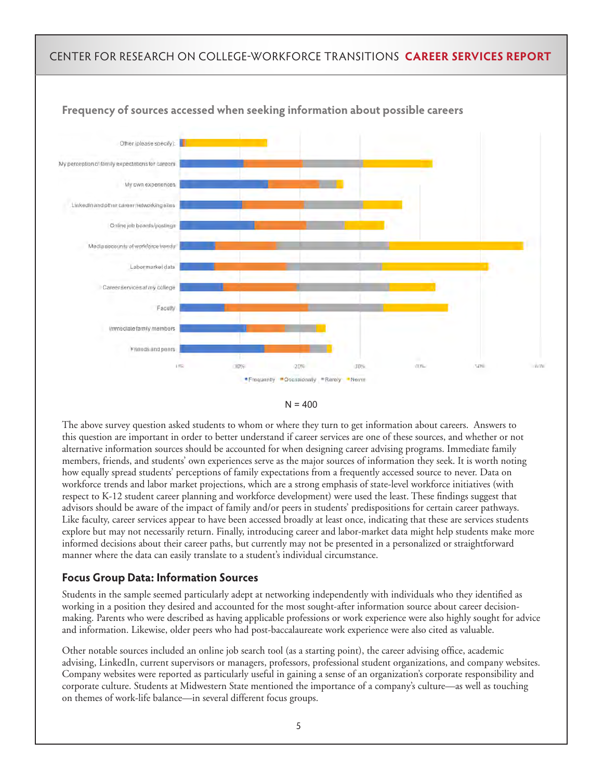

#### **Frequency of sources accessed when seeking information about possible careers**



The above survey question asked students to whom or where they turn to get information about careers. Answers to this question are important in order to better understand if career services are one of these sources, and whether or not alternative information sources should be accounted for when designing career advising programs. Immediate family members, friends, and students' own experiences serve as the major sources of information they seek. It is worth noting how equally spread students' perceptions of family expectations from a frequently accessed source to never. Data on workforce trends and labor market projections, which are a strong emphasis of state-level workforce initiatives (with respect to K-12 student career planning and workforce development) were used the least. These findings suggest that advisors should be aware of the impact of family and/or peers in students' predispositions for certain career pathways. Like faculty, career services appear to have been accessed broadly at least once, indicating that these are services students explore but may not necessarily return. Finally, introducing career and labor-market data might help students make more informed decisions about their career paths, but currently may not be presented in a personalized or straightforward manner where the data can easily translate to a student's individual circumstance.

#### **Focus Group Data: Information Sources**

Students in the sample seemed particularly adept at networking independently with individuals who they identified as working in a position they desired and accounted for the most sought-after information source about career decisionmaking. Parents who were described as having applicable professions or work experience were also highly sought for advice and information. Likewise, older peers who had post-baccalaureate work experience were also cited as valuable.

Other notable sources included an online job search tool (as a starting point), the career advising office, academic advising, LinkedIn, current supervisors or managers, professors, professional student organizations, and company websites. Company websites were reported as particularly useful in gaining a sense of an organization's corporate responsibility and corporate culture. Students at Midwestern State mentioned the importance of a company's culture—as well as touching on themes of work-life balance—in several different focus groups.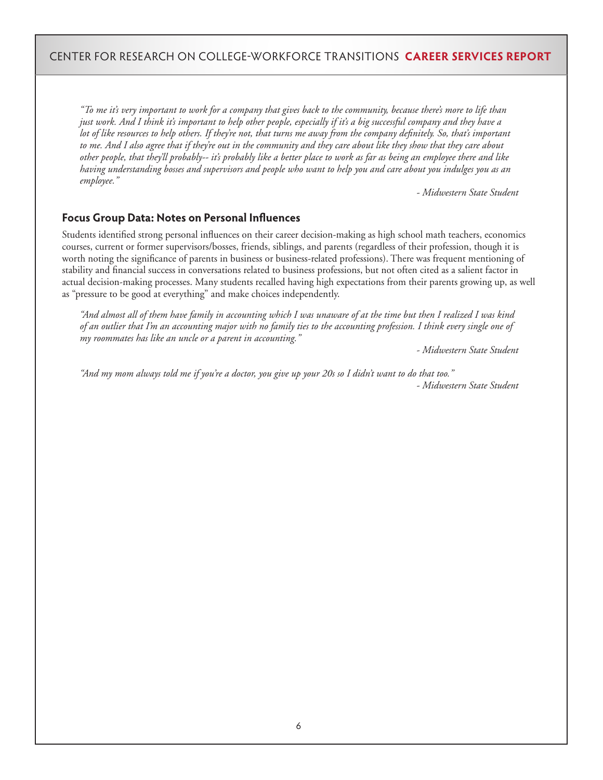*"To me it's very important to work for a company that gives back to the community, because there's more to life than just work. And I think it's important to help other people, especially if it's a big successful company and they have a lot of like resources to help others. If they're not, that turns me away from the company definitely. So, that's important*  to me. And I also agree that if they're out in the community and they care about like they show that they care about *other people, that they'll probably-- it's probably like a better place to work as far as being an employee there and like having understanding bosses and supervisors and people who want to help you and care about you indulges you as an employee."*

 *- Midwestern State Student* 

#### **Focus Group Data: Notes on Personal Influences**

Students identified strong personal influences on their career decision-making as high school math teachers, economics courses, current or former supervisors/bosses, friends, siblings, and parents (regardless of their profession, though it is worth noting the significance of parents in business or business-related professions). There was frequent mentioning of stability and financial success in conversations related to business professions, but not often cited as a salient factor in actual decision-making processes. Many students recalled having high expectations from their parents growing up, as well as "pressure to be good at everything" and make choices independently.

*"And almost all of them have family in accounting which I was unaware of at the time but then I realized I was kind of an outlier that I'm an accounting major with no family ties to the accounting profession. I think every single one of my roommates has like an uncle or a parent in accounting."*

 *- Midwestern State Student* 

*"And my mom always told me if you're a doctor, you give up your 20s so I didn't want to do that too." - Midwestern State Student*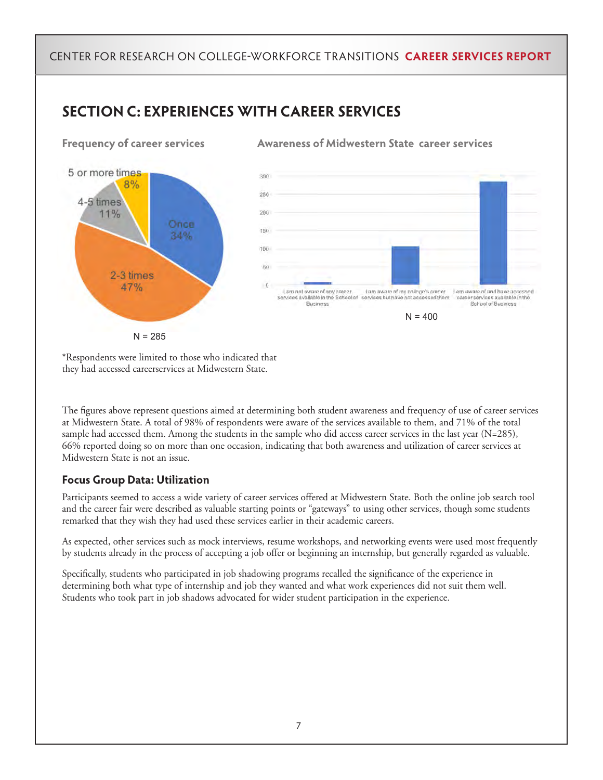## **SECTION C: EXPERIENCES WITH CAREER SERVICES**



**Frequency of career services Awareness of Midwestern State career services** 



\*Respondents were limited to those who indicated that they had accessed careerservices at Midwestern State.

The figures above represent questions aimed at determining both student awareness and frequency of use of career services at Midwestern State. A total of 98% of respondents were aware of the services available to them, and 71% of the total sample had accessed them. Among the students in the sample who did access career services in the last year (N=285), 66% reported doing so on more than one occasion, indicating that both awareness and utilization of career services at Midwestern State is not an issue.

#### **Focus Group Data: Utilization**

Participants seemed to access a wide variety of career services offered at Midwestern State. Both the online job search tool and the career fair were described as valuable starting points or "gateways" to using other services, though some students remarked that they wish they had used these services earlier in their academic careers.

As expected, other services such as mock interviews, resume workshops, and networking events were used most frequently by students already in the process of accepting a job offer or beginning an internship, but generally regarded as valuable.

Specifically, students who participated in job shadowing programs recalled the significance of the experience in determining both what type of internship and job they wanted and what work experiences did not suit them well. Students who took part in job shadows advocated for wider student participation in the experience.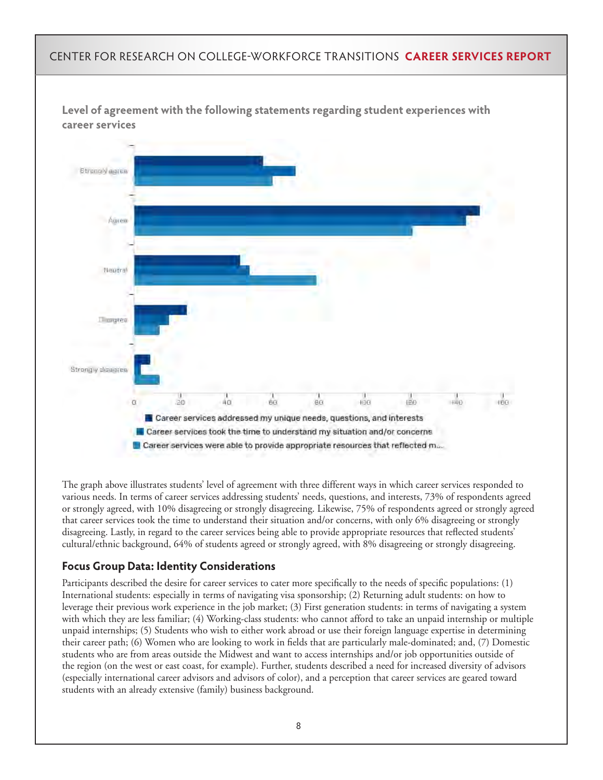

The graph above illustrates students' level of agreement with three different ways in which career services responded to various needs. In terms of career services addressing students' needs, questions, and interests, 73% of respondents agreed or strongly agreed, with 10% disagreeing or strongly disagreeing. Likewise, 75% of respondents agreed or strongly agreed that career services took the time to understand their situation and/or concerns, with only 6% disagreeing or strongly disagreeing. Lastly, in regard to the career services being able to provide appropriate resources that reflected students' cultural/ethnic background, 64% of students agreed or strongly agreed, with 8% disagreeing or strongly disagreeing.

#### **Focus Group Data: Identity Considerations**

Participants described the desire for career services to cater more specifically to the needs of specific populations: (1) International students: especially in terms of navigating visa sponsorship; (2) Returning adult students: on how to leverage their previous work experience in the job market; (3) First generation students: in terms of navigating a system with which they are less familiar; (4) Working-class students: who cannot afford to take an unpaid internship or multiple unpaid internships; (5) Students who wish to either work abroad or use their foreign language expertise in determining their career path; (6) Women who are looking to work in fields that are particularly male-dominated; and, (7) Domestic students who are from areas outside the Midwest and want to access internships and/or job opportunities outside of the region (on the west or east coast, for example). Further, students described a need for increased diversity of advisors (especially international career advisors and advisors of color), and a perception that career services are geared toward students with an already extensive (family) business background.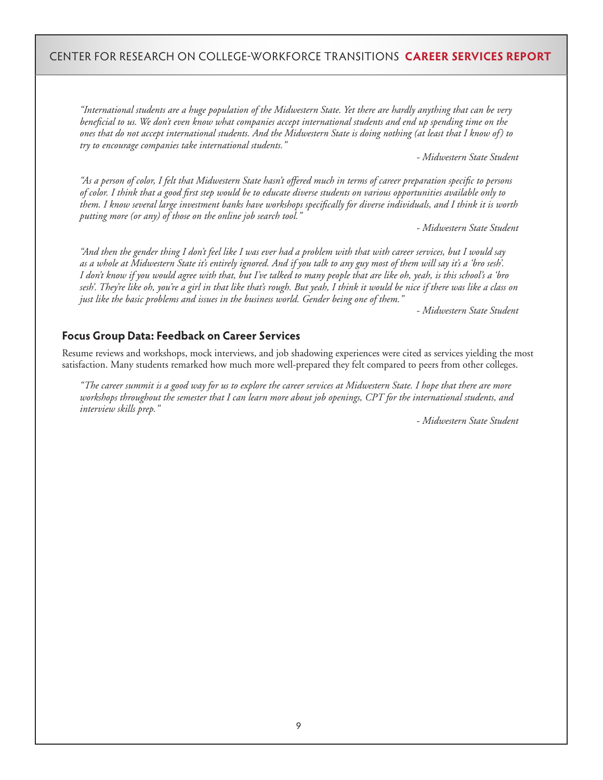*"International students are a huge population of the Midwestern State. Yet there are hardly anything that can be very beneficial to us. We don't even know what companies accept international students and end up spending time on the ones that do not accept international students. And the Midwestern State is doing nothing (at least that I know of) to try to encourage companies take international students."*

 *- Midwestern State Student* 

*"As a person of color, I felt that Midwestern State hasn't offered much in terms of career preparation specific to persons of color. I think that a good first step would be to educate diverse students on various opportunities available only to them. I know several large investment banks have workshops specifically for diverse individuals, and I think it is worth putting more (or any) of those on the online job search tool."*

 *- Midwestern State Student* 

*"And then the gender thing I don't feel like I was ever had a problem with that with career services, but I would say as a whole at Midwestern State it's entirely ignored. And if you talk to any guy most of them will say it's a 'bro sesh'. I don't know if you would agree with that, but I've talked to many people that are like oh, yeah, is this school's a 'bro sesh'. They're like oh, you're a girl in that like that's rough. But yeah, I think it would be nice if there was like a class on just like the basic problems and issues in the business world. Gender being one of them."*

 *- Midwestern State Student* 

#### **Focus Group Data: Feedback on Career Services**

Resume reviews and workshops, mock interviews, and job shadowing experiences were cited as services yielding the most satisfaction. Many students remarked how much more well-prepared they felt compared to peers from other colleges.

*"The career summit is a good way for us to explore the career services at Midwestern State. I hope that there are more workshops throughout the semester that I can learn more about job openings, CPT for the international students, and interview skills prep."*

 *- Midwestern State Student*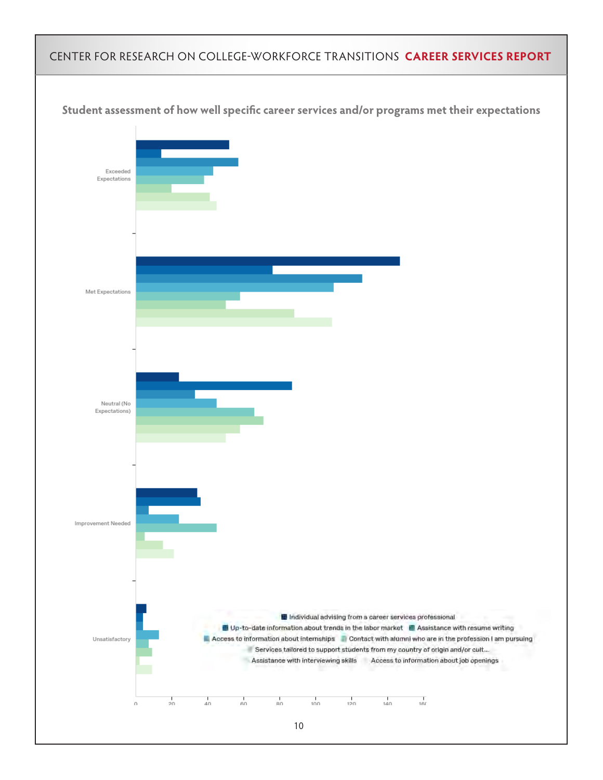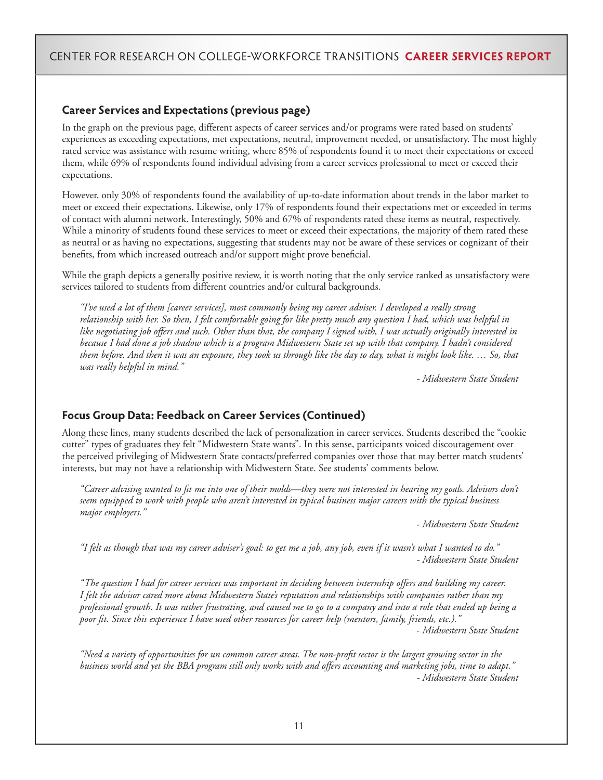#### **Career Services and Expectations (previous page)**

In the graph on the previous page, different aspects of career services and/or programs were rated based on students' experiences as exceeding expectations, met expectations, neutral, improvement needed, or unsatisfactory. The most highly rated service was assistance with resume writing, where 85% of respondents found it to meet their expectations or exceed them, while 69% of respondents found individual advising from a career services professional to meet or exceed their expectations.

However, only 30% of respondents found the availability of up-to-date information about trends in the labor market to meet or exceed their expectations. Likewise, only 17% of respondents found their expectations met or exceeded in terms of contact with alumni network. Interestingly, 50% and 67% of respondents rated these items as neutral, respectively. While a minority of students found these services to meet or exceed their expectations, the majority of them rated these as neutral or as having no expectations, suggesting that students may not be aware of these services or cognizant of their benefits, from which increased outreach and/or support might prove beneficial.

While the graph depicts a generally positive review, it is worth noting that the only service ranked as unsatisfactory were services tailored to students from different countries and/or cultural backgrounds.

*"I've used a lot of them [career services], most commonly being my career adviser. I developed a really strong relationship with her. So then, I felt comfortable going for like pretty much any question I had, which was helpful in like negotiating job offers and such. Other than that, the company I signed with, I was actually originally interested in because I had done a job shadow which is a program Midwestern State set up with that company. I hadn't considered them before. And then it was an exposure, they took us through like the day to day, what it might look like. … So, that was really helpful in mind."*

 *- Midwestern State Student* 

#### **Focus Group Data: Feedback on Career Services (Continued)**

Along these lines, many students described the lack of personalization in career services. Students described the "cookie cutter" types of graduates they felt "Midwestern State wants". In this sense, participants voiced discouragement over the perceived privileging of Midwestern State contacts/preferred companies over those that may better match students' interests, but may not have a relationship with Midwestern State. See students' comments below.

*"Career advising wanted to fit me into one of their molds—they were not interested in hearing my goals. Advisors don't seem equipped to work with people who aren't interested in typical business major careers with the typical business major employers."*

 *- Midwestern State Student* 

*"I felt as though that was my career adviser's goal: to get me a job, any job, even if it wasn't what I wanted to do." - Midwestern State Student* 

*"The question I had for career services was important in deciding between internship offers and building my career. I felt the advisor cared more about Midwestern State's reputation and relationships with companies rather than my professional growth. It was rather frustrating, and caused me to go to a company and into a role that ended up being a poor fit. Since this experience I have used other resources for career help (mentors, family, friends, etc.)." - Midwestern State Student* 

*"Need a variety of opportunities for un common career areas. The non-profit sector is the largest growing sector in the business world and yet the BBA program still only works with and offers accounting and marketing jobs, time to adapt." - Midwestern State Student*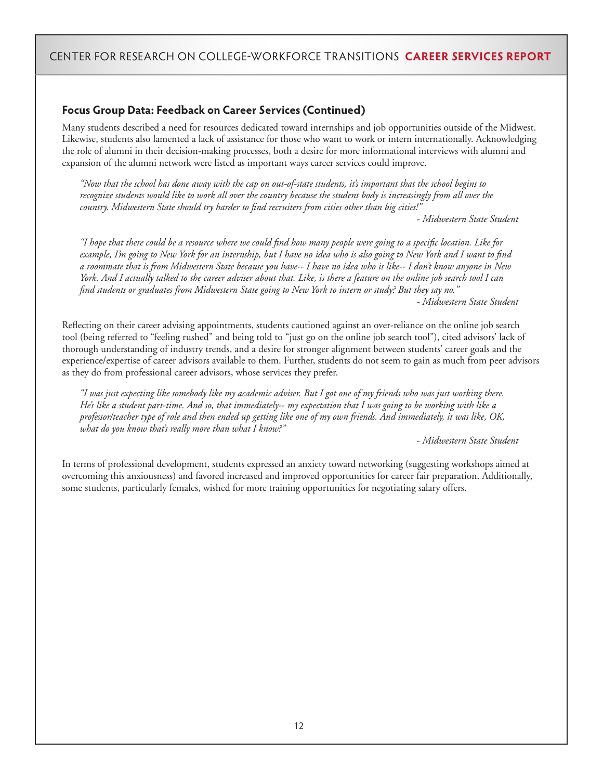#### **Focus Group Data: Feedback on Career Services (Continued)**

Many students described a need for resources dedicated toward internships and job opportunities outside of the Midwest. Likewise, students also lamented a lack of assistance for those who want to work or intern internationally. Acknowledging the role of alumni in their decision-making processes, both a desire for more informational interviews with alumni and expansion of the alumni network were listed as important ways career services could improve.

*"Now that the school has done away with the cap on out-of-state students, it's important that the school begins to recognize students would like to work all over the country because the student body is increasingly from all over the country. Midwestern State should try harder to find recruiters from cities other than big cities!"*

 *- Midwestern State Student* 

*"I hope that there could be a resource where we could find how many people were going to a specific location. Like for example, I'm going to New York for an internship, but I have no idea who is also going to New York and I want to find a roommate that is from Midwestern State because you have-- I have no idea who is like-- I don't know anyone in New York. And I actually talked to the career adviser about that. Like, is there a feature on the online job search tool I can find students or graduates from Midwestern State going to New York to intern or study? But they say no." - Midwestern State Student*

Reflecting on their career advising appointments, students cautioned against an over-reliance on the online job search tool (being referred to "feeling rushed" and being told to "just go on the online job search tool"), cited advisors' lack of thorough understanding of industry trends, and a desire for stronger alignment between students' career goals and the experience/expertise of career advisors available to them. Further, students do not seem to gain as much from peer advisors as they do from professional career advisors, whose services they prefer.

*"I was just expecting like somebody like my academic adviser. But I got one of my friends who was just working there. He's like a student part-time. And so, that immediately-- my expectation that I was going to be working with like a professor/teacher type of role and then ended up getting like one of my own friends. And immediately, it was like, OK, what do you know that's really more than what I know?"*

 *- Midwestern State Student* 

In terms of professional development, students expressed an anxiety toward networking (suggesting workshops aimed at overcoming this anxiousness) and favored increased and improved opportunities for career fair preparation. Additionally, some students, particularly females, wished for more training opportunities for negotiating salary offers.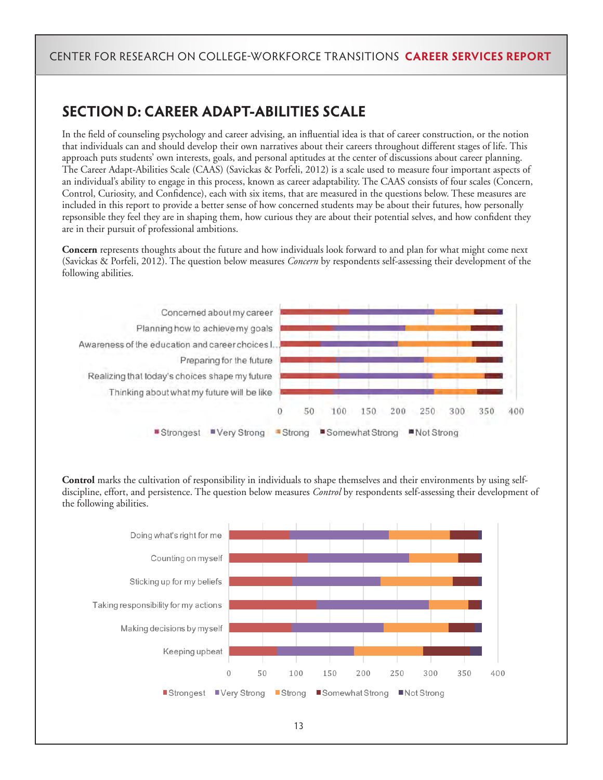# **SECTION D: CAREER ADAPT-ABILITIES SCALE**

In the field of counseling psychology and career advising, an influential idea is that of career construction, or the notion that individuals can and should develop their own narratives about their careers throughout different stages of life. This approach puts students' own interests, goals, and personal aptitudes at the center of discussions about career planning. The Career Adapt-Abilities Scale (CAAS) (Savickas & Porfeli, 2012) is a scale used to measure four important aspects of an individual's ability to engage in this process, known as career adaptability. The CAAS consists of four scales (Concern, Control, Curiosity, and Confidence), each with six items, that are measured in the questions below. These measures are included in this report to provide a better sense of how concerned students may be about their futures, how personally repsonsible they feel they are in shaping them, how curious they are about their potential selves, and how confident they are in their pursuit of professional ambitions.

**Concern** represents thoughts about the future and how individuals look forward to and plan for what might come next (Savickas & Porfeli, 2012). The question below measures *Concern* by respondents self-assessing their development of the following abilities.



**Control** marks the cultivation of responsibility in individuals to shape themselves and their environments by using selfdiscipline, effort, and persistence. The question below measures *Control* by respondents self-assessing their development of the following abilities.

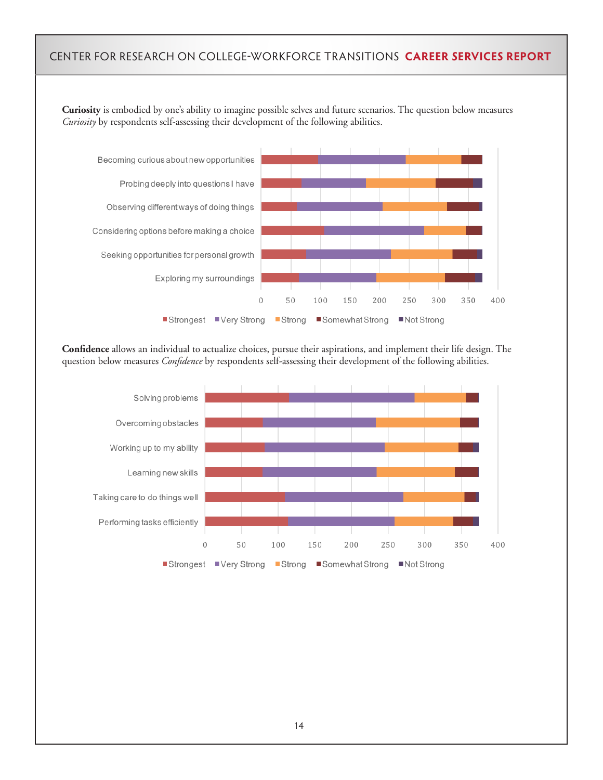**Curiosity** is embodied by one's ability to imagine possible selves and future scenarios. The question below measures *Curiosity* by respondents self-assessing their development of the following abilities.



**Confidence** allows an individual to actualize choices, pursue their aspirations, and implement their life design. The question below measures *Confidence* by respondents self-assessing their development of the following abilities.

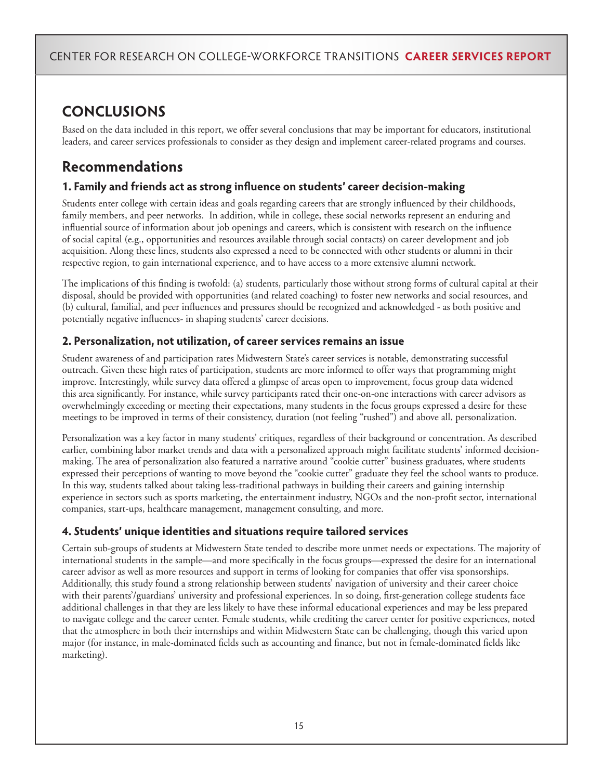# **CONCLUSIONS**

Based on the data included in this report, we offer several conclusions that may be important for educators, institutional leaders, and career services professionals to consider as they design and implement career-related programs and courses.

## **Recommendations**

#### **1. Family and friends act as strong influence on students' career decision-making**

Students enter college with certain ideas and goals regarding careers that are strongly influenced by their childhoods, family members, and peer networks. In addition, while in college, these social networks represent an enduring and influential source of information about job openings and careers, which is consistent with research on the influence of social capital (e.g., opportunities and resources available through social contacts) on career development and job acquisition. Along these lines, students also expressed a need to be connected with other students or alumni in their respective region, to gain international experience, and to have access to a more extensive alumni network.

The implications of this finding is twofold: (a) students, particularly those without strong forms of cultural capital at their disposal, should be provided with opportunities (and related coaching) to foster new networks and social resources, and (b) cultural, familial, and peer influences and pressures should be recognized and acknowledged - as both positive and potentially negative influences- in shaping students' career decisions.

#### **2. Personalization, not utilization, of career services remains an issue**

Student awareness of and participation rates Midwestern State's career services is notable, demonstrating successful outreach. Given these high rates of participation, students are more informed to offer ways that programming might improve. Interestingly, while survey data offered a glimpse of areas open to improvement, focus group data widened this area significantly. For instance, while survey participants rated their one-on-one interactions with career advisors as overwhelmingly exceeding or meeting their expectations, many students in the focus groups expressed a desire for these meetings to be improved in terms of their consistency, duration (not feeling "rushed") and above all, personalization.

Personalization was a key factor in many students' critiques, regardless of their background or concentration. As described earlier, combining labor market trends and data with a personalized approach might facilitate students' informed decisionmaking. The area of personalization also featured a narrative around "cookie cutter" business graduates, where students expressed their perceptions of wanting to move beyond the "cookie cutter" graduate they feel the school wants to produce. In this way, students talked about taking less-traditional pathways in building their careers and gaining internship experience in sectors such as sports marketing, the entertainment industry, NGOs and the non-profit sector, international companies, start-ups, healthcare management, management consulting, and more.

#### **4. Students' unique identities and situations require tailored services**

Certain sub-groups of students at Midwestern State tended to describe more unmet needs or expectations. The majority of international students in the sample—and more specifically in the focus groups—expressed the desire for an international career advisor as well as more resources and support in terms of looking for companies that offer visa sponsorships. Additionally, this study found a strong relationship between students' navigation of university and their career choice with their parents'/guardians' university and professional experiences. In so doing, first-generation college students face additional challenges in that they are less likely to have these informal educational experiences and may be less prepared to navigate college and the career center. Female students, while crediting the career center for positive experiences, noted that the atmosphere in both their internships and within Midwestern State can be challenging, though this varied upon major (for instance, in male-dominated fields such as accounting and finance, but not in female-dominated fields like marketing).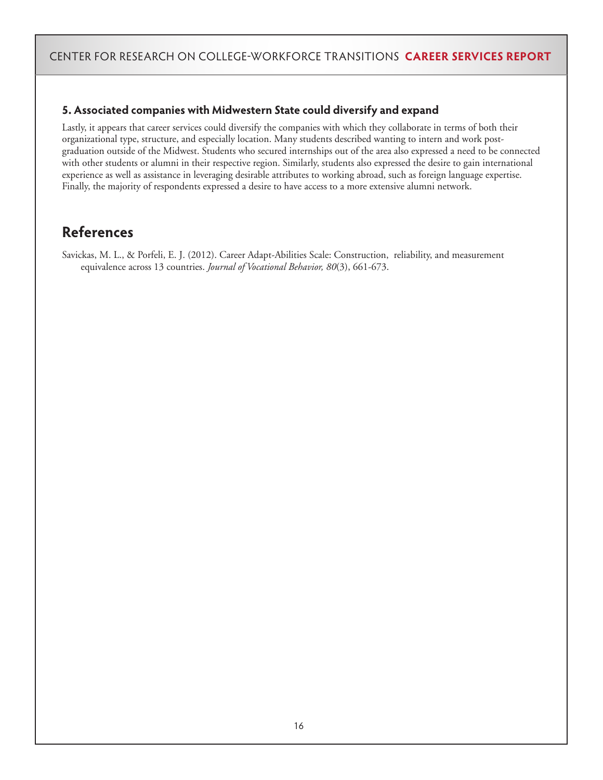#### **5. Associated companies with Midwestern State could diversify and expand**

Lastly, it appears that career services could diversify the companies with which they collaborate in terms of both their organizational type, structure, and especially location. Many students described wanting to intern and work postgraduation outside of the Midwest. Students who secured internships out of the area also expressed a need to be connected with other students or alumni in their respective region. Similarly, students also expressed the desire to gain international experience as well as assistance in leveraging desirable attributes to working abroad, such as foreign language expertise. Finally, the majority of respondents expressed a desire to have access to a more extensive alumni network.

## **References**

Savickas, M. L., & Porfeli, E. J. (2012). Career Adapt-Abilities Scale: Construction, reliability, and measurement equivalence across 13 countries. *Journal of Vocational Behavior, 80*(3), 661-673.